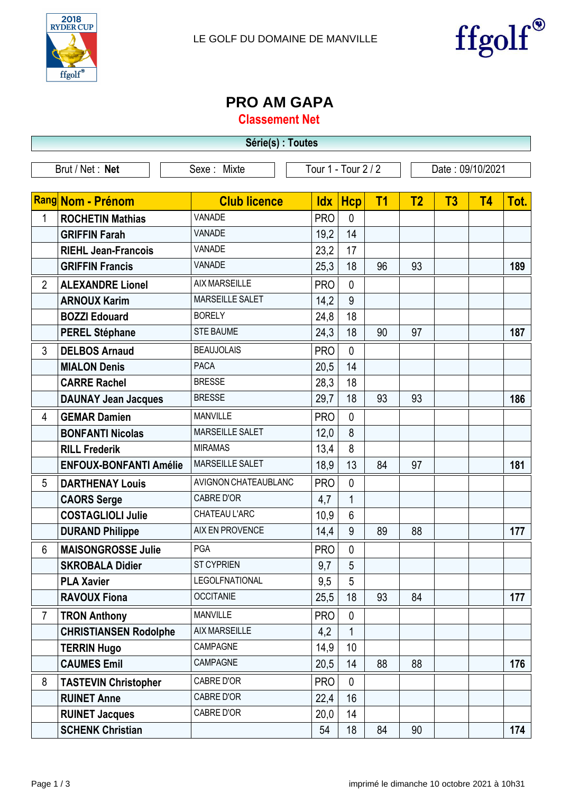



## **PRO AM GAPA**

**Classement Net**

| Série(s) : Toutes |                               |                             |                     |                 |                |                  |                |           |      |  |
|-------------------|-------------------------------|-----------------------------|---------------------|-----------------|----------------|------------------|----------------|-----------|------|--|
|                   | Brut / Net: Net               | Sexe: Mixte                 | Tour 1 - Tour 2 / 2 |                 |                | Date: 09/10/2021 |                |           |      |  |
|                   |                               |                             |                     |                 |                |                  |                |           |      |  |
|                   | <b>Rang Nom - Prénom</b>      | <b>Club licence</b>         | <b>Idx</b>          | <b>Hcp</b>      | T <sub>1</sub> | T <sub>2</sub>   | T <sub>3</sub> | <b>T4</b> | Tot. |  |
| 1                 | <b>ROCHETIN Mathias</b>       | <b>VANADE</b>               | <b>PRO</b>          | $\mathbf{0}$    |                |                  |                |           |      |  |
|                   | <b>GRIFFIN Farah</b>          | <b>VANADE</b>               | 19,2                | 14              |                |                  |                |           |      |  |
|                   | <b>RIEHL Jean-Francois</b>    | VANADE                      | 23,2                | 17              |                |                  |                |           |      |  |
|                   | <b>GRIFFIN Francis</b>        | <b>VANADE</b>               | 25,3                | 18              | 96             | 93               |                |           | 189  |  |
| $\overline{2}$    | <b>ALEXANDRE Lionel</b>       | <b>AIX MARSEILLE</b>        | <b>PRO</b>          | $\mathbf{0}$    |                |                  |                |           |      |  |
|                   | <b>ARNOUX Karim</b>           | <b>MARSEILLE SALET</b>      | 14,2                | 9               |                |                  |                |           |      |  |
|                   | <b>BOZZI Edouard</b>          | <b>BORELY</b>               | 24,8                | 18              |                |                  |                |           |      |  |
|                   | <b>PEREL Stéphane</b>         | <b>STE BAUME</b>            | 24,3                | 18              | 90             | 97               |                |           | 187  |  |
| $\mathfrak{Z}$    | <b>DELBOS Arnaud</b>          | <b>BEAUJOLAIS</b>           | <b>PRO</b>          | $\overline{0}$  |                |                  |                |           |      |  |
|                   | <b>MIALON Denis</b>           | <b>PACA</b>                 | 20,5                | 14              |                |                  |                |           |      |  |
|                   | <b>CARRE Rachel</b>           | <b>BRESSE</b>               | 28,3                | 18              |                |                  |                |           |      |  |
|                   | <b>DAUNAY Jean Jacques</b>    | <b>BRESSE</b>               | 29,7                | 18              | 93             | 93               |                |           | 186  |  |
| 4                 | <b>GEMAR Damien</b>           | <b>MANVILLE</b>             | <b>PRO</b>          | $\mathbf{0}$    |                |                  |                |           |      |  |
|                   | <b>BONFANTI Nicolas</b>       | MARSEILLE SALET             | 12,0                | 8               |                |                  |                |           |      |  |
|                   | <b>RILL Frederik</b>          | <b>MIRAMAS</b>              | 13,4                | 8               |                |                  |                |           |      |  |
|                   | <b>ENFOUX-BONFANTI Amélie</b> | <b>MARSEILLE SALET</b>      | 18,9                | 13              | 84             | 97               |                |           | 181  |  |
| 5                 | <b>DARTHENAY Louis</b>        | <b>AVIGNON CHATEAUBLANC</b> | <b>PRO</b>          | $\mathbf{0}$    |                |                  |                |           |      |  |
|                   | <b>CAORS Serge</b>            | <b>CABRE D'OR</b>           | 4,7                 | $\mathbf{1}$    |                |                  |                |           |      |  |
|                   | <b>COSTAGLIOLI Julie</b>      | CHATEAU L'ARC               | 10,9                | 6               |                |                  |                |           |      |  |
|                   | <b>DURAND Philippe</b>        | AIX EN PROVENCE             | 14,4                | 9               | 89             | 88               |                |           | 177  |  |
| 6                 | <b>MAISONGROSSE Julie</b>     | <b>PGA</b>                  | <b>PRO</b>          | 0               |                |                  |                |           |      |  |
|                   | <b>SKROBALA Didier</b>        | <b>ST CYPRIEN</b>           | 9,7                 | 5               |                |                  |                |           |      |  |
|                   | <b>PLA Xavier</b>             | <b>LEGOLFNATIONAL</b>       | 9,5                 | 5               |                |                  |                |           |      |  |
|                   | <b>RAVOUX Fiona</b>           | <b>OCCITANIE</b>            | 25,5                | 18              | 93             | 84               |                |           | 177  |  |
| $\overline{7}$    | <b>TRON Anthony</b>           | <b>MANVILLE</b>             | <b>PRO</b>          | $\mathbf{0}$    |                |                  |                |           |      |  |
|                   | <b>CHRISTIANSEN Rodolphe</b>  | <b>AIX MARSEILLE</b>        | 4,2                 | $\mathbf{1}$    |                |                  |                |           |      |  |
|                   | <b>TERRIN Hugo</b>            | CAMPAGNE                    | 14,9                | 10 <sup>1</sup> |                |                  |                |           |      |  |
|                   | <b>CAUMES Emil</b>            | CAMPAGNE                    | 20,5                | 14              | 88             | 88               |                |           | 176  |  |
| 8                 | <b>TASTEVIN Christopher</b>   | CABRE D'OR                  | <b>PRO</b>          | $\mathbf{0}$    |                |                  |                |           |      |  |
|                   | <b>RUINET Anne</b>            | CABRE D'OR                  | 22,4                | 16              |                |                  |                |           |      |  |
|                   | <b>RUINET Jacques</b>         | CABRE D'OR                  | 20,0                | 14              |                |                  |                |           |      |  |
|                   | <b>SCHENK Christian</b>       |                             | 54                  | 18              | 84             | 90               |                |           | 174  |  |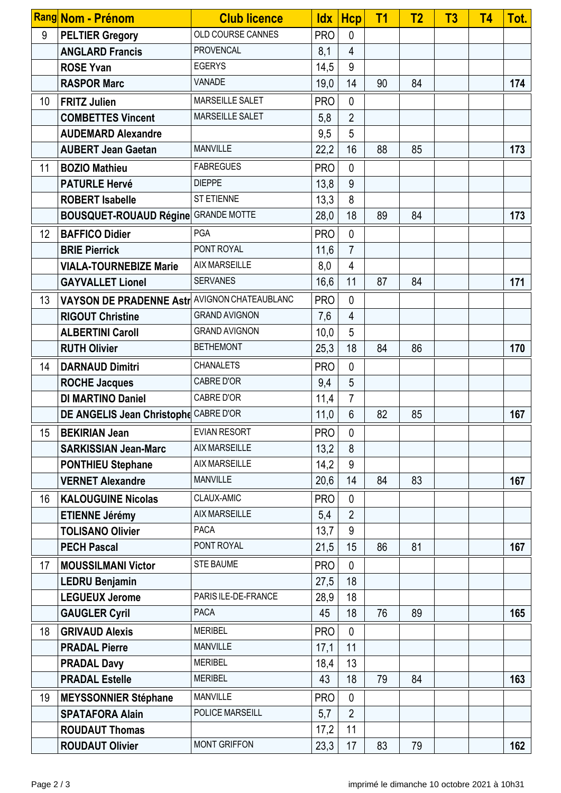|    | Rang Nom - Prénom                                         | <b>Club licence</b>  |            | $ldx$ Hcp       | T <sub>1</sub> | <b>T2</b> | T3 | T4 | Tot. |
|----|-----------------------------------------------------------|----------------------|------------|-----------------|----------------|-----------|----|----|------|
| 9  | <b>PELTIER Gregory</b>                                    | OLD COURSE CANNES    | <b>PRO</b> | $\mathbf{0}$    |                |           |    |    |      |
|    | <b>ANGLARD Francis</b>                                    | <b>PROVENCAL</b>     | 8,1        | $\overline{4}$  |                |           |    |    |      |
|    | <b>ROSE Yvan</b>                                          | <b>EGERYS</b>        | 14,5       | 9               |                |           |    |    |      |
|    | <b>RASPOR Marc</b>                                        | <b>VANADE</b>        | 19,0       | 14              | 90             | 84        |    |    | 174  |
| 10 | <b>FRITZ Julien</b>                                       | MARSEILLE SALET      | <b>PRO</b> | $\mathbf{0}$    |                |           |    |    |      |
|    | <b>COMBETTES Vincent</b>                                  | MARSEILLE SALET      | 5,8        | $\overline{2}$  |                |           |    |    |      |
|    | <b>AUDEMARD Alexandre</b>                                 |                      | 9,5        | 5               |                |           |    |    |      |
|    | <b>AUBERT Jean Gaetan</b>                                 | <b>MANVILLE</b>      | 22,2       | 16              | 88             | 85        |    |    | 173  |
| 11 | <b>BOZIO Mathieu</b>                                      | <b>FABREGUES</b>     | <b>PRO</b> | $\mathbf{0}$    |                |           |    |    |      |
|    | <b>PATURLE Hervé</b>                                      | <b>DIEPPE</b>        | 13,8       | 9               |                |           |    |    |      |
|    | <b>ROBERT Isabelle</b>                                    | ST ETIENNE           | 13,3       | 8               |                |           |    |    |      |
|    | <b>BOUSQUET-ROUAUD Régine</b>                             | <b>GRANDE MOTTE</b>  | 28,0       | 18              | 89             | 84        |    |    | 173  |
| 12 | <b>BAFFICO Didier</b>                                     | PGA                  | <b>PRO</b> | $\mathbf{0}$    |                |           |    |    |      |
|    | <b>BRIE Pierrick</b>                                      | PONT ROYAL           | 11,6       | $\overline{7}$  |                |           |    |    |      |
|    | <b>VIALA-TOURNEBIZE Marie</b>                             | <b>AIX MARSEILLE</b> | 8,0        | 4               |                |           |    |    |      |
|    | <b>GAYVALLET Lionel</b>                                   | <b>SERVANES</b>      | 16,6       | 11              | 87             | 84        |    |    | 171  |
| 13 | VAYSON DE PRADENNE Astr <sup>  AVIGNON CHATEAUBLANC</sup> |                      | <b>PRO</b> | $\mathbf{0}$    |                |           |    |    |      |
|    | <b>RIGOUT Christine</b>                                   | <b>GRAND AVIGNON</b> | 7,6        | 4               |                |           |    |    |      |
|    | <b>ALBERTINI Caroll</b>                                   | <b>GRAND AVIGNON</b> | 10,0       | 5               |                |           |    |    |      |
|    | <b>RUTH Olivier</b>                                       | <b>BETHEMONT</b>     | 25,3       | 18              | 84             | 86        |    |    | 170  |
| 14 | <b>DARNAUD Dimitri</b>                                    | <b>CHANALETS</b>     | <b>PRO</b> | $\mathbf{0}$    |                |           |    |    |      |
|    | <b>ROCHE Jacques</b>                                      | CABRE D'OR           | 9,4        | 5               |                |           |    |    |      |
|    | <b>DI MARTINO Daniel</b>                                  | CABRE D'OR           | 11,4       | $\overline{7}$  |                |           |    |    |      |
|    | DE ANGELIS Jean Christophe CABRE D'OR                     |                      | 11,0       | $6\phantom{1}6$ | 82             | 85        |    |    | 167  |
| 15 | <b>BEKIRIAN Jean</b>                                      | <b>EVIAN RESORT</b>  | <b>PRO</b> | $\mathbf 0$     |                |           |    |    |      |
|    | <b>SARKISSIAN Jean-Marc</b>                               | <b>AIX MARSEILLE</b> | 13,2       | 8               |                |           |    |    |      |
|    | <b>PONTHIEU Stephane</b>                                  | <b>AIX MARSEILLE</b> | 14,2       | 9               |                |           |    |    |      |
|    | <b>VERNET Alexandre</b>                                   | <b>MANVILLE</b>      | 20,6       | 14              | 84             | 83        |    |    | 167  |
| 16 | <b>KALOUGUINE Nicolas</b>                                 | CLAUX-AMIC           | <b>PRO</b> | $\mathbf{0}$    |                |           |    |    |      |
|    | <b>ETIENNE Jérémy</b>                                     | <b>AIX MARSEILLE</b> | 5,4        | $\overline{2}$  |                |           |    |    |      |
|    | <b>TOLISANO Olivier</b>                                   | <b>PACA</b>          | 13,7       | 9               |                |           |    |    |      |
|    | <b>PECH Pascal</b>                                        | PONT ROYAL           | 21,5       | 15              | 86             | 81        |    |    | 167  |
| 17 | <b>MOUSSILMANI Victor</b>                                 | <b>STE BAUME</b>     | <b>PRO</b> | $\mathbf{0}$    |                |           |    |    |      |
|    | <b>LEDRU Benjamin</b>                                     |                      | 27,5       | 18              |                |           |    |    |      |
|    | <b>LEGUEUX Jerome</b>                                     | PARIS ILE-DE-FRANCE  | 28,9       | 18              |                |           |    |    |      |
|    | <b>GAUGLER Cyril</b>                                      | <b>PACA</b>          | 45         | 18              | 76             | 89        |    |    | 165  |
| 18 | <b>GRIVAUD Alexis</b>                                     | <b>MERIBEL</b>       | <b>PRO</b> | $\mathbf{0}$    |                |           |    |    |      |
|    | <b>PRADAL Pierre</b>                                      | <b>MANVILLE</b>      | 17,1       | 11              |                |           |    |    |      |
|    | <b>PRADAL Davy</b>                                        | <b>MERIBEL</b>       | 18,4       | 13              |                |           |    |    |      |
|    | <b>PRADAL Estelle</b>                                     | <b>MERIBEL</b>       | 43         | 18              | 79             | 84        |    |    | 163  |
| 19 | <b>MEYSSONNIER Stéphane</b>                               | <b>MANVILLE</b>      | <b>PRO</b> | $\mathbf{0}$    |                |           |    |    |      |
|    | <b>SPATAFORA Alain</b>                                    | POLICE MARSEILL      | 5,7        | $\overline{2}$  |                |           |    |    |      |
|    | <b>ROUDAUT Thomas</b>                                     |                      | 17,2       | 11              |                |           |    |    |      |
|    | <b>ROUDAUT Olivier</b>                                    | <b>MONT GRIFFON</b>  | 23,3       | 17              | 83             | 79        |    |    | 162  |